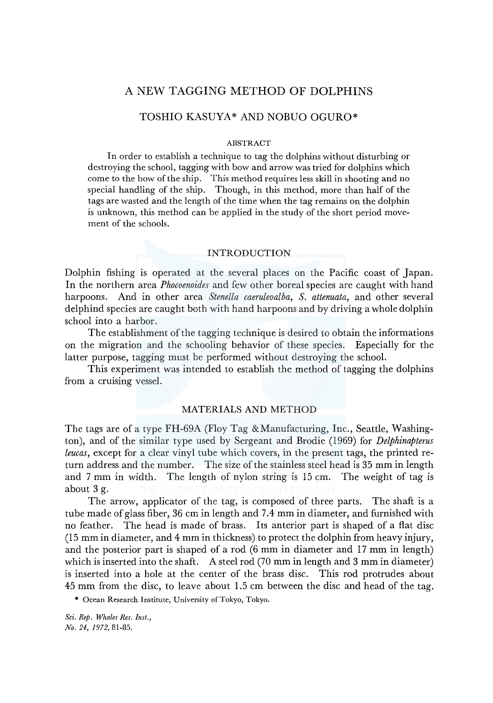# A NEW TAGGING **METHOD OF DOLPHINS**

# TOSHIO KASUYA\* AND NOBUO OGURO\*

#### ABSTRACT

In order to establish a technique to tag the dolphins without disturbing or destroying the school, tagging with bow and arrow was tried for dolphins which come to the bow of the ship. This method requires less skill in shooting and no special handling of the ship. Though, in this method, more than half of the tags are wasted and the length of the time when the tag remains on the dolphin is unknown, this method can be applied in the study of the short period movement of the schools.

#### INTRODUCTION

Dolphin fishing is operated at the several places on the Pacific coast of Japan. In the northern area *Phocoenoides* and few other boreal species are caught with hand harpoons. And in other area *Stenella caeruleoalba, S. attenuata,* and other several delphind species are caught both with hand harpoons and by driving a whole dolphin school into a harbor.

The establishment of the tagging technique is desired to obtain the informations on the migration and the schooling behavior of these species. Especially for the latter purpose, tagging must be performed without destroying the school.

This experiment was intended to establish the method of tagging the dolphins from a cruising vessel.

# MATERIALS AND METHOD

The tags are of a type FH-69A (Floy Tag &Manufacturing, Inc., Seattle, Washington), and of the similar type used by Sergeant and Brodie (1969) for *Delphinapterus leucas,* except for a clear vinyl tube which covers, in the present tags, the printed return address and the number. The size of the stainless steel head is 35 mm in length and 7 mm in width. The length of nylon string is 15 cm. The weight of tag is about 3 g.

The arrow, applicator of the tag, is composed of three parts. The shaft is a tube made of glass fiber, 36 cm in length and 7.4 mm in diameter, and furnished with no feather. The head is made of brass. Its anterior part is shaped of a flat disc (15 mm in diameter, and 4 mm in thickness) to protect the dolphin from heavy injury, and the posterior part is shaped of a rod (6 mm in diameter and 17 mm in length) which is inserted into the shaft. A steel rod (70 mm in length and 3 mm in diameter) is inserted into a hole at the center of the brass disc. This rod protrudes about 45 mm from the disc, to leave about 1.5 cm between the disc and head of the tag.

\* Ocean Research Institute, University of Tokyo, Tokyo.

*Sci. Rep. Whales Res. Inst., No. 24, 1972,* 81-85.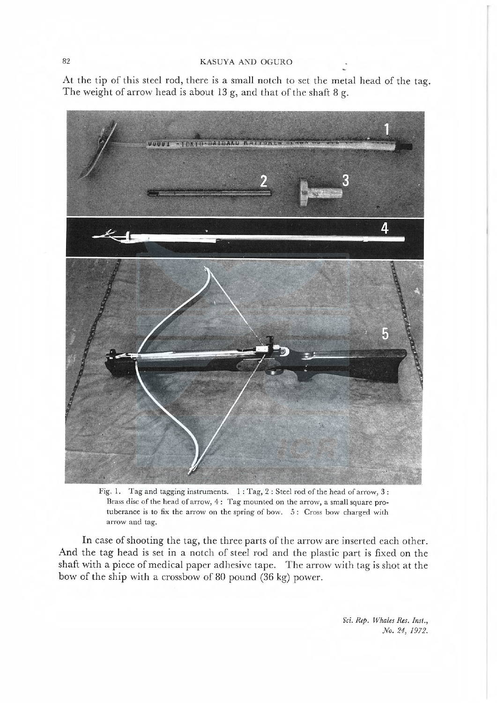At the tip of this steel rod, there is a small notch to set the metal head of the tag. The weight of arrow head is about 13 g, and that of the shaft 8 g.



Fig. I. Tag and tagging instruments. I : Tag, 2 : Steel rod of the head of arrow, 3 : Brass disc of the head of arrow, 4: Tag mounted on the arrow, a small square protuberance is to fix the arrow on the spring of bow. 5: Cross bow charged with arrow and tag.

In case of shooting the tag, the three parts of the arrow are inserted each other. And the tag head is set in a notch of steel rod and the plastic part is fixed on the shaft with a piece of medical paper adhesive tape. The arrow with tag is shot at the bow of the ship with a crossbow of 80 pound (36 kg) power.

> Sci. Rep. Whales Res. Inst., No. 24, 1972.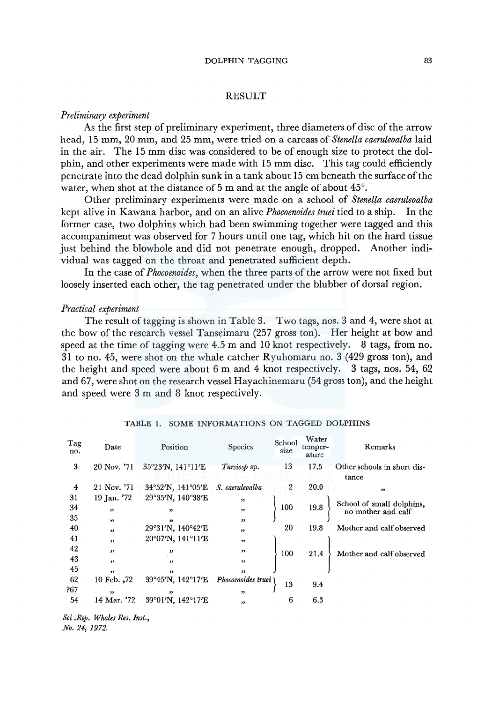### DOLPHIN TAGGING 83

#### RESULT

#### *Preliminary experiment*

As the first step of preliminary experiment, three diameters of disc of the arrow head, 15 mm, 20 mm, and 25 mm, were tried on a carcass of *Stenella caeruleoalba* laid in the air. The 15 mm disc was considered to be of enough size to protect the dolphin, and other experiments were made with 15 mm disc. This tag could efficiently penetrate into the dead dolphin sunk in a tank about 15 cm beneath the surface of the water, when shot at the distance of 5 m and at the angle of about 45°.

Other preliminary experiments were made on a school of *Stenella caeruleoalba*  kept alive in Kawana harbor, and on an alive *Phocoenoides truei* tied to a ship. In the former case, two dolphins which had been swimming together were tagged and this accompaniment was observed for 7 hours until one tag, which hit on the hard tissue just behind the blowhole and did not penetrate enough, dropped. Another individual was tagged on the throat and penetrated sufficient depth.

In the case of *Phocoenoides,* when the three parts of the arrow were not fixed but loosely inserted each other, the tag penetrated under the blubber of dorsal region.

#### *Practical experiment*

The result of tagging is shown in Table 3. Two tags, nos. 3 and 4, were shot at the bow of the research vessel Tanseimaru (257 gross ton). Her height at bow and speed at the time of tagging were 4.5 m and 10 knot respectively. 8 tags, from no. 31 to no. 45, were shot on the whale catcher Ryuhomaru no. 3 (429 gross ton), and the height and speed were about 6 m and 4 knot respectively. 3 tags, nos. 54, 62 and 67, were shot on the research vessel Hayachinemaru (54 gross ton), and the height and speed were 3 m and 8 knot respectively.

| Tag<br>no. | Date          | Position          | Species            | School<br>size | Water<br>temper-<br>ature | Remarks                                         |
|------------|---------------|-------------------|--------------------|----------------|---------------------------|-------------------------------------------------|
| 3          | 20 Nov. '71   | 35°23'N, 141°11'E | Tursiosp sp.       | 13             | 17.5                      | Other schools in short dis-                     |
|            |               |                   |                    |                |                           | tance                                           |
| 4          | 21 Nov. '71   | 34°52'N, 141°05'E | S. caeruleoalba    | $\overline{2}$ | 20.0                      | ,                                               |
| 31         | 19 Jan. '72   | 29°35'N, 140°38'E | ,,                 |                |                           |                                                 |
| 34         | , ,           | "                 | , ,                | 100            | 19.8                      | School of small dolphins,<br>no mother and calf |
| 35         | $\rightarrow$ | ,                 | 55                 |                |                           |                                                 |
| 40         | $\bullet$     | 29°31′N, 140°42′E | ,                  | 20             | 19.8                      | Mother and calf observed                        |
| 41         | ,             | 20°07'N, 141°11'E | , ,                |                |                           |                                                 |
| 42         | , ,           | ,,                | ,,                 | 100            | 21.4                      | Mother and calf observed                        |
| 43         | , ,           | $^{\bullet}$      | ,,                 |                |                           |                                                 |
| 45         | , 2, 3        | 55                | $^{\prime}$        |                |                           |                                                 |
| 62         | 10 Feb. ,72   | 39°45'N, 142°17'E | Phocoenoides truei | 13             | 9.4                       |                                                 |
| ?67        | $^{\bullet}$  | ,                 | ,,                 |                |                           |                                                 |
| 54         | 14 Mar. '72   | 39°01′N, 142°17′E | "                  | 6              | 6.3                       |                                                 |

#### TABLE 1. SOME INFORMATIONS ON TAGGED DOLPHINS

*Sci .Rep. Whales Res. Inst., No. 24, 1972.*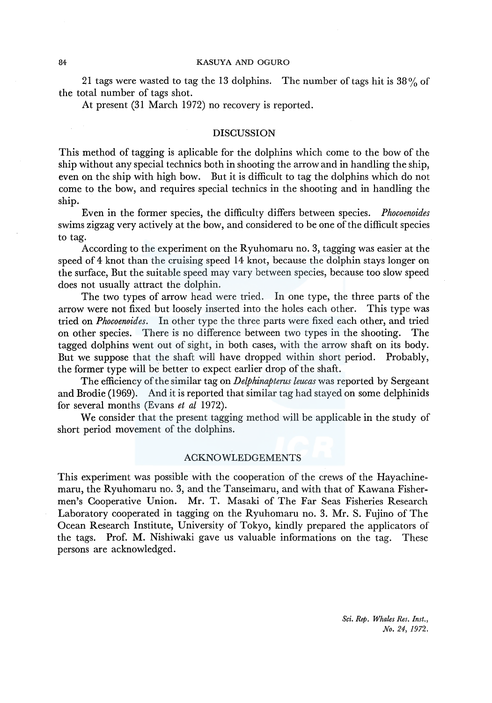#### 84 KASUYA AND OGURO

21 tags were wasted to tag the 13 dolphins. The number of tags hit is  $38\%$  of the total number of tags shot.

At present (31 March 1972) no recovery is reported.

## DISCUSSION

This method of tagging is aplicable for the dolphins which come to the bow of the ship without any special technics both in shooting the arrow and in handling the ship, even on the ship with high bow. But it is difficult to tag the dolphins which do not come to the bow, and requires special technics in the shooting and in handling the ship.

Even in the former species, the difficulty differs between species. *Phocoenoides*  swims zigzag very actively at the bow, and considered to be one of the difficult species to tag.

According to the experiment on the Ryuhomaru no. 3, tagging was easier at the speed of 4 knot than the cruising speed 14 knot, because the dolphin stays longer on the surface, But the suitable speed may vary between species, because too slow speed does not usually attract the dolphin.

The two types of arrow head were tried. In one type, the three parts of the arrow were not fixed but loosely inserted into the holes each other. This type was tried on *Phocoenoides.* In other type the three parts were fixed each other, and tried on other species. There is no difference between two types in the shooting. The tagged dolphins went out of sight, in both cases, with the arrow shaft on its body. But we suppose that the shaft will have dropped within short period. Probably, the former type will be better to expect earlier drop of the shaft.

The efficiency of the similar tag on *Delphinapterus leucas* was reported by Sergeant and Brodie (1969). And it is reported that similar tag had stayed on some delphinids for several months (Evans *et al* 1972).

We consider that the present tagging method will be applicable in the study of short period movement of the dolphins.

## ACKNOWLEDGEMENTS

This experiment was possible with the cooperation of the crews of the Hayachinemaru, the Ryuhomaru no. 3, and the Tanseimaru, and with that of Kawana Fishermen's Cooperative Union. Mr. T. Masaki of The Far Seas Fisheries Research Laboratory cooperated in tagging on the Ryuhomaru no. 3. Mr. S. Fujino of The Ocean Research Institute, University of Tokyo, kindly prepared the applicators of the tags. Prof. M. Nishiwaki gave us valuable informations on the tag. These persons are acknowledged.

> *Sci. Rep. Whales Res. Inst., No. 24, 1972.*